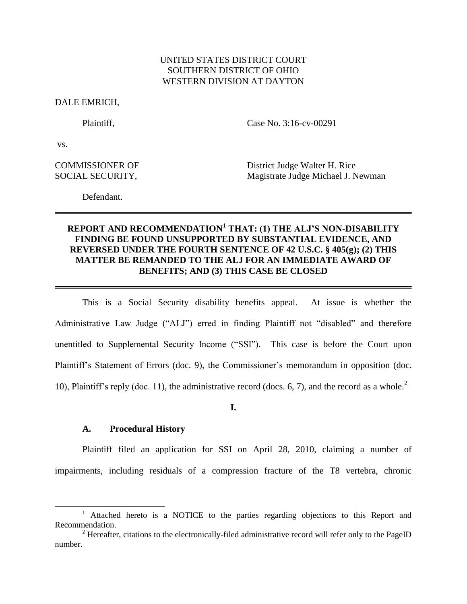# UNITED STATES DISTRICT COURT SOUTHERN DISTRICT OF OHIO WESTERN DIVISION AT DAYTON

DALE EMRICH,

Plaintiff, Case No. 3:16-cv-00291

vs.

l

COMMISSIONER OF District Judge Walter H. Rice SOCIAL SECURITY, Magistrate Judge Michael J. Newman

Defendant.

# **REPORT AND RECOMMENDATION<sup>1</sup> THAT: (1) THE ALJ'S NON-DISABILITY FINDING BE FOUND UNSUPPORTED BY SUBSTANTIAL EVIDENCE, AND REVERSED UNDER THE FOURTH SENTENCE OF 42 U.S.C. § 405(g); (2) THIS MATTER BE REMANDED TO THE ALJ FOR AN IMMEDIATE AWARD OF BENEFITS; AND (3) THIS CASE BE CLOSED**

This is a Social Security disability benefits appeal. At issue is whether the Administrative Law Judge ("ALJ") erred in finding Plaintiff not "disabled" and therefore unentitled to Supplemental Security Income ("SSI"). This case is before the Court upon Plaintiff's Statement of Errors (doc. 9), the Commissioner's memorandum in opposition (doc. 10), Plaintiff's reply (doc. 11), the administrative record (docs. 6, 7), and the record as a whole.<sup>2</sup>

**I.**

#### **A. Procedural History**

Plaintiff filed an application for SSI on April 28, 2010, claiming a number of impairments, including residuals of a compression fracture of the T8 vertebra, chronic

<sup>&</sup>lt;sup>1</sup> Attached hereto is a NOTICE to the parties regarding objections to this Report and Recommendation.

 $2$  Hereafter, citations to the electronically-filed administrative record will refer only to the PageID number.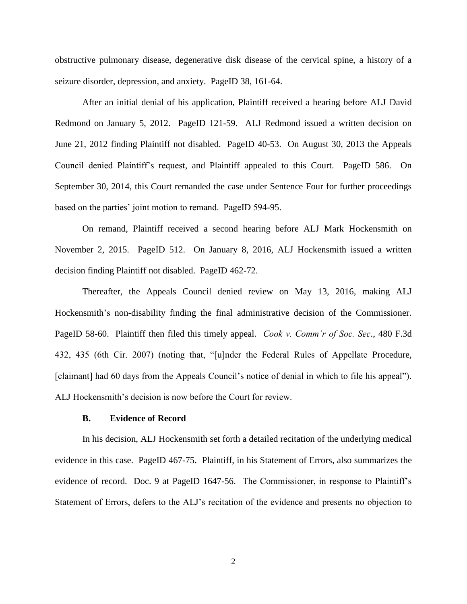obstructive pulmonary disease, degenerative disk disease of the cervical spine, a history of a seizure disorder, depression, and anxiety. PageID 38, 161-64.

After an initial denial of his application, Plaintiff received a hearing before ALJ David Redmond on January 5, 2012. PageID 121-59. ALJ Redmond issued a written decision on June 21, 2012 finding Plaintiff not disabled. PageID 40-53. On August 30, 2013 the Appeals Council denied Plaintiff's request, and Plaintiff appealed to this Court. PageID 586. On September 30, 2014, this Court remanded the case under Sentence Four for further proceedings based on the parties' joint motion to remand. PageID 594-95.

On remand, Plaintiff received a second hearing before ALJ Mark Hockensmith on November 2, 2015. PageID 512. On January 8, 2016, ALJ Hockensmith issued a written decision finding Plaintiff not disabled. PageID 462-72.

Thereafter, the Appeals Council denied review on May 13, 2016, making ALJ Hockensmith's non-disability finding the final administrative decision of the Commissioner. PageID 58-60. Plaintiff then filed this timely appeal. *Cook v. Comm'r of Soc. Sec*., 480 F.3d 432, 435 (6th Cir. 2007) (noting that, "[u]nder the Federal Rules of Appellate Procedure, [claimant] had 60 days from the Appeals Council's notice of denial in which to file his appeal"). ALJ Hockensmith's decision is now before the Court for review.

### **B. Evidence of Record**

In his decision, ALJ Hockensmith set forth a detailed recitation of the underlying medical evidence in this case. PageID 467-75. Plaintiff, in his Statement of Errors, also summarizes the evidence of record. Doc. 9 at PageID 1647-56. The Commissioner, in response to Plaintiff's Statement of Errors, defers to the ALJ's recitation of the evidence and presents no objection to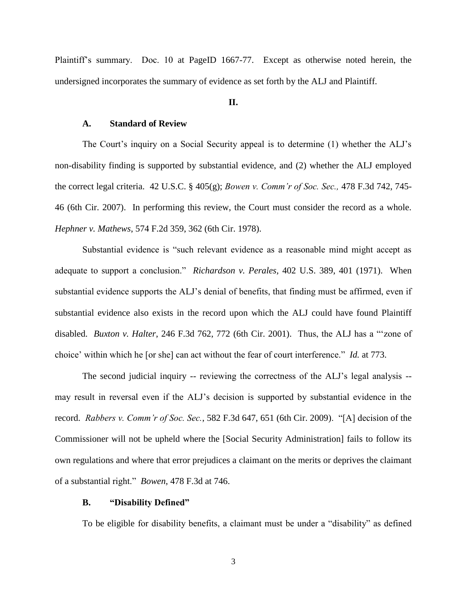Plaintiff's summary. Doc. 10 at PageID 1667-77. Except as otherwise noted herein, the undersigned incorporates the summary of evidence as set forth by the ALJ and Plaintiff.

### **II.**

### **A. Standard of Review**

The Court's inquiry on a Social Security appeal is to determine (1) whether the ALJ's non-disability finding is supported by substantial evidence, and (2) whether the ALJ employed the correct legal criteria. [42 U.S.C. § 405\(g\);](http://www.westlaw.com/Link/Document/FullText?findType=L&pubNum=1000546&cite=42USCAS405&originatingDoc=I6e209fd0590111e68e80d394640dd07e&refType=SP&originationContext=document&vr=3.0&rs=cblt1.0&transitionType=DocumentItem&contextData=(sc.Search)#co_pp_16f4000091d86) *[Bowen v. Comm'r of Soc. Sec.,](http://www.westlaw.com/Link/Document/FullText?findType=Y&serNum=2011645982&pubNum=0000506&originatingDoc=I6e209fd0590111e68e80d394640dd07e&refType=RP&fi=co_pp_sp_506_745&originationContext=document&vr=3.0&rs=cblt1.0&transitionType=DocumentItem&contextData=(sc.Search)#co_pp_sp_506_745)* 478 F.3d 742, 745- [46 \(6th Cir. 2007\).](http://www.westlaw.com/Link/Document/FullText?findType=Y&serNum=2011645982&pubNum=0000506&originatingDoc=I6e209fd0590111e68e80d394640dd07e&refType=RP&fi=co_pp_sp_506_745&originationContext=document&vr=3.0&rs=cblt1.0&transitionType=DocumentItem&contextData=(sc.Search)#co_pp_sp_506_745) In performing this review, the Court must consider the record as a whole. *Hephner v. Mathews*[, 574 F.2d 359, 362 \(6th Cir. 1978\).](http://www.westlaw.com/Link/Document/FullText?findType=Y&serNum=1978103397&pubNum=0000350&originatingDoc=I6e209fd0590111e68e80d394640dd07e&refType=RP&fi=co_pp_sp_350_362&originationContext=document&vr=3.0&rs=cblt1.0&transitionType=DocumentItem&contextData=(sc.Search)#co_pp_sp_350_362)

Substantial evidence is "such relevant evidence as a reasonable mind might accept as adequate to support a conclusion." *Richardson v. Perales,* [402 U.S. 389, 401 \(1971\).](http://www.westlaw.com/Link/Document/FullText?findType=Y&serNum=1971127062&pubNum=0000780&originatingDoc=I6e209fd0590111e68e80d394640dd07e&refType=RP&fi=co_pp_sp_780_401&originationContext=document&vr=3.0&rs=cblt1.0&transitionType=DocumentItem&contextData=(sc.Search)#co_pp_sp_780_401) When substantial evidence supports the ALJ's denial of benefits, that finding must be affirmed, even if substantial evidence also exists in the record upon which the ALJ could have found Plaintiff disabled. *Buxton v. Halter*[, 246 F.3d 762, 772 \(6th Cir. 2001\).](http://www.westlaw.com/Link/Document/FullText?findType=Y&serNum=2001305423&pubNum=0000506&originatingDoc=I6e209fd0590111e68e80d394640dd07e&refType=RP&fi=co_pp_sp_506_772&originationContext=document&vr=3.0&rs=cblt1.0&transitionType=DocumentItem&contextData=(sc.Search)#co_pp_sp_506_772) Thus, the ALJ has a "'zone of choice' within which he [or she] can act without the fear of court interference." *Id.* [at 773.](http://www.westlaw.com/Link/Document/FullText?findType=Y&serNum=2001305423&pubNum=0000506&originatingDoc=I6e209fd0590111e68e80d394640dd07e&refType=RP&fi=co_pp_sp_506_773&originationContext=document&vr=3.0&rs=cblt1.0&transitionType=DocumentItem&contextData=(sc.Search)#co_pp_sp_506_773)

The second judicial inquiry -- reviewing the correctness of the ALJ's legal analysis - may result in reversal even if the ALJ's decision is supported by substantial evidence in the record. *Rabbers v. Comm'r of Soc. Sec.*[, 582 F.3d 647, 651 \(6th Cir. 2009\).](http://www.westlaw.com/Link/Document/FullText?findType=Y&serNum=2019951471&pubNum=0000506&originatingDoc=I6e209fd0590111e68e80d394640dd07e&refType=RP&fi=co_pp_sp_506_651&originationContext=document&vr=3.0&rs=cblt1.0&transitionType=DocumentItem&contextData=(sc.Search)#co_pp_sp_506_651) "[A] decision of the Commissioner will not be upheld where the [Social Security Administration] fails to follow its own regulations and where that error prejudices a claimant on the merits or deprives the claimant of a substantial right." *Bowen*[, 478 F.3d at 746.](http://www.westlaw.com/Link/Document/FullText?findType=Y&serNum=2011645982&pubNum=0000506&originatingDoc=I6e209fd0590111e68e80d394640dd07e&refType=RP&fi=co_pp_sp_506_746&originationContext=document&vr=3.0&rs=cblt1.0&transitionType=DocumentItem&contextData=(sc.Search)#co_pp_sp_506_746)

### **B. "Disability Defined"**

To be eligible for disability benefits, a claimant must be under a "disability" as defined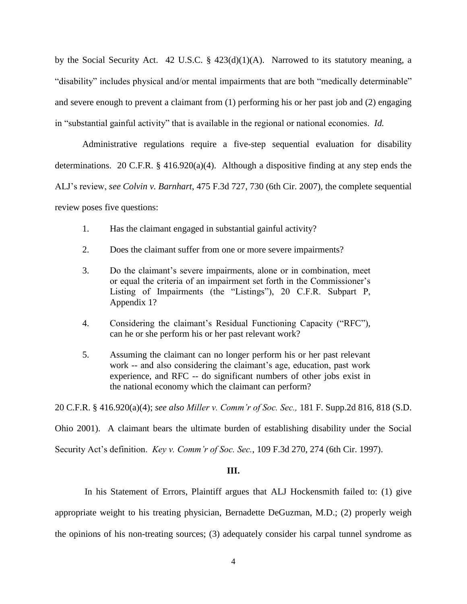by the Social Security Act. [42 U.S.C. § 423\(d\)\(1\)\(A\).](http://www.westlaw.com/Link/Document/FullText?findType=L&pubNum=1000546&cite=42USCAS423&originatingDoc=I6e209fd0590111e68e80d394640dd07e&refType=SP&originationContext=document&vr=3.0&rs=cblt1.0&transitionType=DocumentItem&contextData=(sc.Search)#co_pp_a7830000870a0) Narrowed to its statutory meaning, a "disability" includes physical and/or [mental impairments](http://www.westlaw.com/Link/Document/FullText?entityType=disease&entityId=Ic94ca545475411db9765f9243f53508a&originationContext=document&transitionType=DocumentItem&contextData=(sc.Default)&vr=3.0&rs=cblt1.0) that are both "medically determinable" and severe enough to prevent a claimant from (1) performing his or her past job and (2) engaging in "substantial gainful activity" that is available in the regional or national economies. *Id.*

Administrative regulations require a five-step sequential evaluation for disability determinations. [20 C.F.R. § 416.920\(a\)\(4\).](http://www.westlaw.com/Link/Document/FullText?findType=L&pubNum=1000547&cite=20CFRS404.1520&originatingDoc=I6e209fd0590111e68e80d394640dd07e&refType=LQ&originationContext=document&vr=3.0&rs=cblt1.0&transitionType=DocumentItem&contextData=(sc.Search)) Although a dispositive finding at any step ends the ALJ's review, *see Colvin v. Barnhart*[, 475 F.3d 727, 730](http://www.westlaw.com/Link/Document/FullText?findType=Y&serNum=2011402905&pubNum=0000506&originatingDoc=I6e209fd0590111e68e80d394640dd07e&refType=RP&fi=co_pp_sp_506_730&originationContext=document&vr=3.0&rs=cblt1.0&transitionType=DocumentItem&contextData=(sc.Search)#co_pp_sp_506_730) (6th Cir. 2007), the complete sequential review poses five questions:

- 1. Has the claimant engaged in substantial gainful activity?
- 2. Does the claimant suffer from one or more severe impairments?
- 3. Do the claimant's severe impairments, alone or in combination, meet or equal the criteria of an impairment set forth in the Commissioner's Listing of Impairments (the "Listings"), 20 C.F.R. Subpart P, [Appendix 1?](http://www.westlaw.com/Link/Document/FullText?findType=L&pubNum=1000547&cite=20CFRPT404SUBPTPAPP1&originatingDoc=I6e209fd0590111e68e80d394640dd07e&refType=LQ&originationContext=document&vr=3.0&rs=cblt1.0&transitionType=DocumentItem&contextData=(sc.Search))
- 4. Considering the claimant's Residual Functioning Capacity ("RFC"), can he or she perform his or her past relevant work?
- 5. Assuming the claimant can no longer perform his or her past relevant work -- and also considering the claimant's age, education, past work experience, and RFC -- do significant numbers of other jobs exist in the national economy which the claimant can perform?

20 C.F.R. § 416.920(a)(4); *see also Miller v. Comm'r of Soc. Sec.,* [181 F. Supp.2d 816, 818 \(S.D.](http://www.westlaw.com/Link/Document/FullText?findType=Y&serNum=2002042909&pubNum=0004637&originatingDoc=I6e209fd0590111e68e80d394640dd07e&refType=RP&fi=co_pp_sp_4637_818&originationContext=document&vr=3.0&rs=cblt1.0&transitionType=DocumentItem&contextData=(sc.Search)#co_pp_sp_4637_818)  [Ohio 2001\).](http://www.westlaw.com/Link/Document/FullText?findType=Y&serNum=2002042909&pubNum=0004637&originatingDoc=I6e209fd0590111e68e80d394640dd07e&refType=RP&fi=co_pp_sp_4637_818&originationContext=document&vr=3.0&rs=cblt1.0&transitionType=DocumentItem&contextData=(sc.Search)#co_pp_sp_4637_818) A claimant bears the ultimate burden of establishing disability under the Social

Security Act's definition. *Key v. Comm'r of Soc. Sec.*[, 109 F.3d 270, 274 \(6th Cir. 1997\).](http://www.westlaw.com/Link/Document/FullText?findType=Y&serNum=1997075265&pubNum=0000506&originatingDoc=I6e209fd0590111e68e80d394640dd07e&refType=RP&fi=co_pp_sp_506_274&originationContext=document&vr=3.0&rs=cblt1.0&transitionType=DocumentItem&contextData=(sc.Search)#co_pp_sp_506_274)

# **III.**

In his Statement of Errors, Plaintiff argues that ALJ Hockensmith failed to: (1) give appropriate weight to his treating physician, Bernadette DeGuzman, M.D.; (2) properly weigh the opinions of his non-treating sources; (3) adequately consider his carpal tunnel syndrome as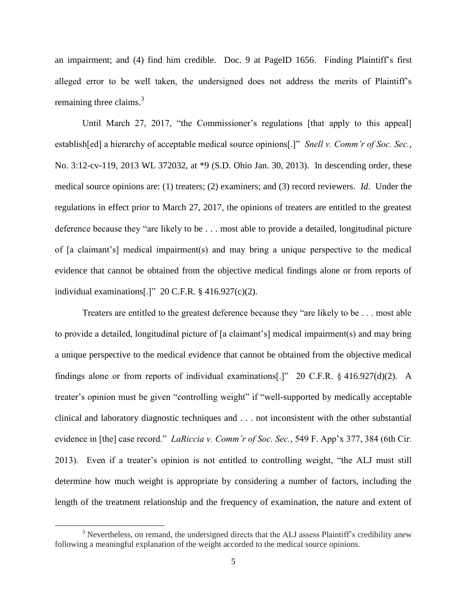an impairment; and (4) find him credible. Doc. 9 at PageID 1656. Finding Plaintiff's first alleged error to be well taken, the undersigned does not address the merits of Plaintiff's remaining three claims. $3$ 

Until March 27, 2017, "the Commissioner's regulations [that apply to this appeal] establish[ed] a hierarchy of acceptable medical source opinions[.]" *Snell v. Comm'r of Soc. Sec.*, No. 3:12-cv-119, 2013 WL 372032, at \*9 (S.D. Ohio Jan. 30, 2013). In descending order, these medical source opinions are: (1) treaters; (2) examiners; and (3) record reviewers. *Id*. Under the regulations in effect prior to March 27, 2017, the opinions of treaters are entitled to the greatest deference because they "are likely to be . . . most able to provide a detailed, longitudinal picture of [a claimant's] medical impairment(s) and may bring a unique perspective to the medical evidence that cannot be obtained from the objective medical findings alone or from reports of individual examinations[.]" 20 C.F.R. § 416.927(c)(2).

Treaters are entitled to the greatest deference because they "are likely to be . . . most able to provide a detailed, longitudinal picture of [a claimant's] medical impairment(s) and may bring a unique perspective to the medical evidence that cannot be obtained from the objective medical findings alone or from reports of individual examinations[.]" 20 C.F.R. § 416.927(d)(2). A treater's opinion must be given "controlling weight" if "well-supported by medically acceptable clinical and laboratory diagnostic techniques and . . . not inconsistent with the other substantial evidence in [the] case record." *LaRiccia v. Comm'r of Soc. Sec.*, 549 F. App'x 377, 384 (6th Cir. 2013). Even if a treater's opinion is not entitled to controlling weight, "the ALJ must still determine how much weight is appropriate by considering a number of factors, including the length of the treatment relationship and the frequency of examination, the nature and extent of

 $\overline{\phantom{a}}$ 

<sup>&</sup>lt;sup>3</sup> Nevertheless, on remand, the undersigned directs that the ALJ assess Plaintiff's credibility anew following a meaningful explanation of the weight accorded to the medical source opinions.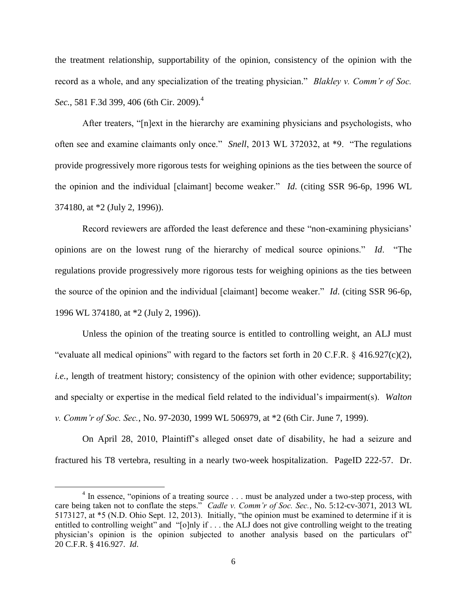the treatment relationship, supportability of the opinion, consistency of the opinion with the record as a whole, and any specialization of the treating physician." *Blakley v. Comm'r of Soc. Sec.*, 581 F.3d 399, 406 (6th Cir. 2009).<sup>4</sup>

After treaters, "[n]ext in the hierarchy are examining physicians and psychologists, who often see and examine claimants only once." *Snell*, 2013 WL 372032, at \*9. "The regulations provide progressively more rigorous tests for weighing opinions as the ties between the source of the opinion and the individual [claimant] become weaker." *Id*. (citing SSR 96-6p, 1996 WL 374180, at \*2 (July 2, 1996)).

Record reviewers are afforded the least deference and these "non-examining physicians' opinions are on the lowest rung of the hierarchy of medical source opinions." *Id*. "The regulations provide progressively more rigorous tests for weighing opinions as the ties between the source of the opinion and the individual [claimant] become weaker." *Id*. (citing SSR 96-6p, 1996 WL 374180, at \*2 (July 2, 1996)).

Unless the opinion of the treating source is entitled to controlling weight, an ALJ must "evaluate all medical opinions" with regard to the factors set forth in 20 C.F.R. § 416.927(c)(2), *i.e.*, length of treatment history; consistency of the opinion with other evidence; supportability; and specialty or expertise in the medical field related to the individual's impairment(s). *Walton v. Comm'r of Soc. Sec.*, No. 97-2030, 1999 WL 506979, at \*2 (6th Cir. June 7, 1999).

On April 28, 2010, Plaintiff's alleged onset date of disability, he had a seizure and fractured his T8 vertebra, resulting in a nearly two-week hospitalization. PageID 222-57. Dr.

 $\overline{a}$ 

<sup>&</sup>lt;sup>4</sup> In essence, "opinions of a treating source . . . must be analyzed under a two-step process, with care being taken not to conflate the steps." *Cadle v. Comm'r of Soc. Sec.*, No. 5:12-cv-3071, 2013 WL 5173127, at \*5 (N.D. Ohio Sept. 12, 2013). Initially, "the opinion must be examined to determine if it is entitled to controlling weight" and "[o]nly if . . . the ALJ does not give controlling weight to the treating physician's opinion is the opinion subjected to another analysis based on the particulars of" 20 C.F.R. § 416.927. *Id*.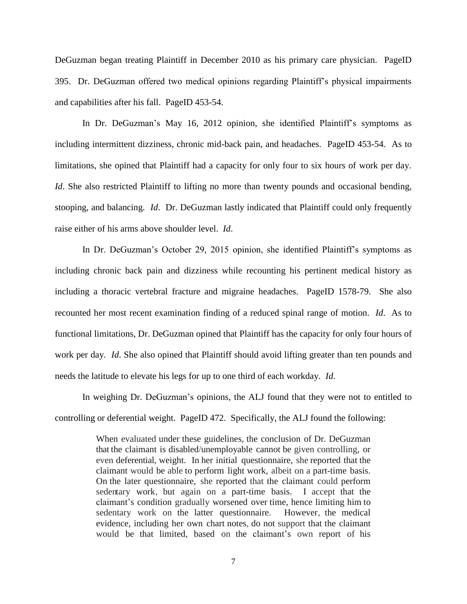DeGuzman began treating Plaintiff in December 2010 as his primary care physician. PageID 395. Dr. DeGuzman offered two medical opinions regarding Plaintiff's physical impairments and capabilities after his fall. PageID 453-54.

In Dr. DeGuzman's May 16, 2012 opinion, she identified Plaintiff's symptoms as including intermittent dizziness, chronic mid-back pain, and headaches. PageID 453-54. As to limitations, she opined that Plaintiff had a capacity for only four to six hours of work per day. *Id*. She also restricted Plaintiff to lifting no more than twenty pounds and occasional bending, stooping, and balancing. *Id*. Dr. DeGuzman lastly indicated that Plaintiff could only frequently raise either of his arms above shoulder level. *Id*.

In Dr. DeGuzman's October 29, 2015 opinion, she identified Plaintiff's symptoms as including chronic back pain and dizziness while recounting his pertinent medical history as including a thoracic vertebral fracture and migraine headaches. PageID 1578-79. She also recounted her most recent examination finding of a reduced spinal range of motion. *Id*. As to functional limitations, Dr. DeGuzman opined that Plaintiff has the capacity for only four hours of work per day. *Id*. She also opined that Plaintiff should avoid lifting greater than ten pounds and needs the latitude to elevate his legs for up to one third of each workday. *Id*.

In weighing Dr. DeGuzman's opinions, the ALJ found that they were not to entitled to controlling or deferential weight. PageID 472. Specifically, the ALJ found the following:

> When evaluated under these guidelines, the conclusion of Dr. DeGuzman that the claimant is disabled/unemployable cannot be given controlling, or even deferential, weight. In her initial questionnaire, she reported that the claimant would be able to perform light work, albeit on a part-time basis. On the later questionnaire, she reported that the claimant could perform sedentary work, but again on a part-time basis. I accept that the claimant's condition gradually worsened over time, hence limiting him to sedentary work on the latter questionnaire. However, the medical evidence, including her own chart notes, do not support that the claimant would be that limited, based on the claimant's own report of his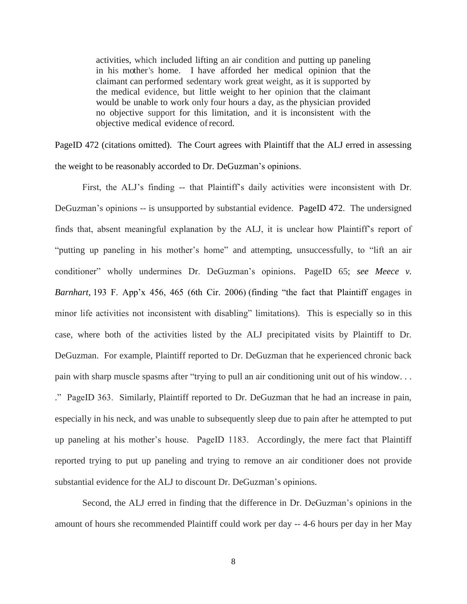activities, which included lifting an air condition and putting up paneling in his mother's home. I have afforded her medical opinion that the claimant can performed sedentary work great weight, as it is supported by the medical evidence, but little weight to her opinion that the claimant would be unable to work only four hours a day, as the physician provided no objective support for this limitation, and it is inconsistent with the objective medical evidence ofrecord.

PageID 472 (citations omitted). The Court agrees with Plaintiff that the ALJ erred in assessing the weight to be reasonably accorded to Dr. DeGuzman's opinions.

First, the ALJ's finding -- that Plaintiff's daily activities were inconsistent with Dr. DeGuzman's opinions -- is unsupported by substantial evidence. PageID 472. The undersigned finds that, absent meaningful explanation by the ALJ, it is unclear how Plaintiff's report of "putting up paneling in his mother's home" and attempting, unsuccessfully, to "lift an air conditioner" wholly undermines Dr. DeGuzman's opinions. PageID 65; *see Meece v. Barnhart,* 193 F. App'x 456, 465 (6th Cir. 2006) (finding "the fact that Plaintiff engages in minor life activities not inconsistent with disabling" limitations). This is especially so in this case, where both of the activities listed by the ALJ precipitated visits by Plaintiff to Dr. DeGuzman. For example, Plaintiff reported to Dr. DeGuzman that he experienced chronic back pain with sharp muscle spasms after "trying to pull an air conditioning unit out of his window. . . ." PageID 363. Similarly, Plaintiff reported to Dr. DeGuzman that he had an increase in pain, especially in his neck, and was unable to subsequently sleep due to pain after he attempted to put up paneling at his mother's house. PageID 1183. Accordingly, the mere fact that Plaintiff reported trying to put up paneling and trying to remove an air conditioner does not provide substantial evidence for the ALJ to discount Dr. DeGuzman's opinions.

Second, the ALJ erred in finding that the difference in Dr. DeGuzman's opinions in the amount of hours she recommended Plaintiff could work per day -- 4-6 hours per day in her May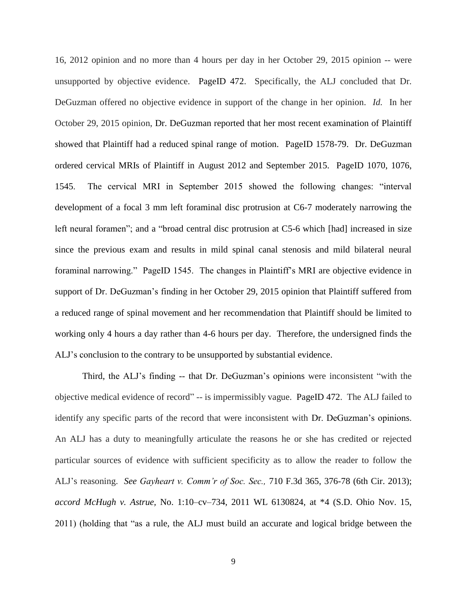16, 2012 opinion and no more than 4 hours per day in her October 29, 2015 opinion -- were unsupported by objective evidence. PageID 472. Specifically, the ALJ concluded that Dr. DeGuzman offered no objective evidence in support of the change in her opinion. *Id.* In her October 29, 2015 opinion, Dr. DeGuzman reported that her most recent examination of Plaintiff showed that Plaintiff had a reduced spinal range of motion. PageID 1578-79. Dr. DeGuzman ordered cervical MRIs of Plaintiff in August 2012 and September 2015. PageID 1070, 1076, 1545. The cervical MRI in September 2015 showed the following changes: "interval development of a focal 3 mm left foraminal disc protrusion at C6-7 moderately narrowing the left neural foramen"; and a "broad central disc protrusion at C5-6 which [had] increased in size since the previous exam and results in mild spinal canal stenosis and mild bilateral neural foraminal narrowing." PageID 1545. The changes in Plaintiff's MRI are objective evidence in support of Dr. DeGuzman's finding in her October 29, 2015 opinion that Plaintiff suffered from a reduced range of spinal movement and her recommendation that Plaintiff should be limited to working only 4 hours a day rather than 4-6 hours per day. Therefore, the undersigned finds the ALJ's conclusion to the contrary to be unsupported by substantial evidence.

Third, the ALJ's finding -- that Dr. DeGuzman's opinions were inconsistent "with the objective medical evidence of record" -- is impermissibly vague. PageID 472. The ALJ failed to identify any specific parts of the record that were inconsistent with Dr. DeGuzman's opinions. An ALJ has a duty to meaningfully articulate the reasons he or she has credited or rejected particular sources of evidence with sufficient specificity as to allow the reader to follow the ALJ's reasoning. *See Gayheart v. Comm'r of Soc. Sec.,* 710 F.3d 365, 376-78 (6th Cir. 2013); *accord McHugh v. Astrue,* No. 1:10–cv–734, 2011 WL 6130824, at \*4 (S.D. Ohio Nov. 15, 2011) (holding that "as a rule, the ALJ must build an accurate and logical bridge between the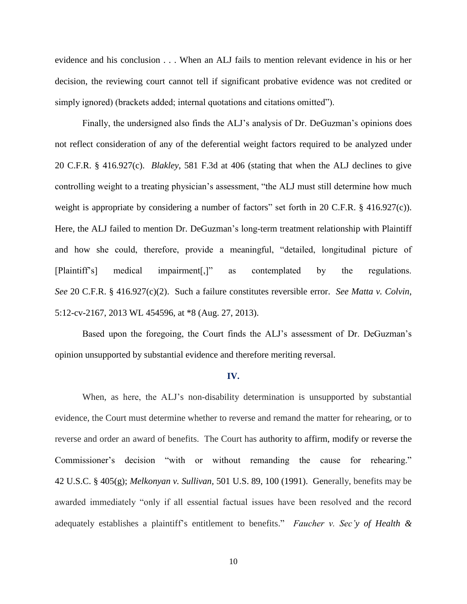evidence and his conclusion . . . When an ALJ fails to mention relevant evidence in his or her decision, the reviewing court cannot tell if significant probative evidence was not credited or simply ignored) (brackets added; internal quotations and citations omitted").

Finally, the undersigned also finds the ALJ's analysis of Dr. DeGuzman's opinions does not reflect consideration of any of the deferential weight factors required to be analyzed under 20 C.F.R. § 416.927(c). *Blakley*, 581 F.3d at 406 (stating that when the ALJ declines to give controlling weight to a treating physician's assessment, "the ALJ must still determine how much weight is appropriate by considering a number of factors" set forth in 20 C.F.R. § 416.927(c)). Here, the ALJ failed to mention Dr. DeGuzman's long-term treatment relationship with Plaintiff and how she could, therefore, provide a meaningful, "detailed, longitudinal picture of [Plaintiff's] medical impairment[,]" as contemplated by the regulations. *See* 20 C.F.R. § 416.927(c)(2). Such a failure constitutes reversible error. *See Matta v. Colvin*, 5:12-cv-2167, 2013 WL 454596, at \*8 (Aug. 27, 2013).

Based upon the foregoing, the Court finds the ALJ's assessment of Dr. DeGuzman's opinion unsupported by substantial evidence and therefore meriting reversal.

#### **IV.**

When, as here, the ALJ's non-disability determination is unsupported by substantial evidence, the Court must determine whether to reverse and remand the matter for rehearing, or to reverse and order an award of benefits. The Court has authority to affirm, modify or reverse the Commissioner's decision "with or without remanding the cause for rehearing." 42 U.S.C. § 405(g); *Melkonyan v. Sullivan,* 501 U.S. 89, 100 (1991). Generally, benefits may be awarded immediately "only if all essential factual issues have been resolved and the record adequately establishes a plaintiff's entitlement to benefits." *Faucher v. Sec'y of Health &*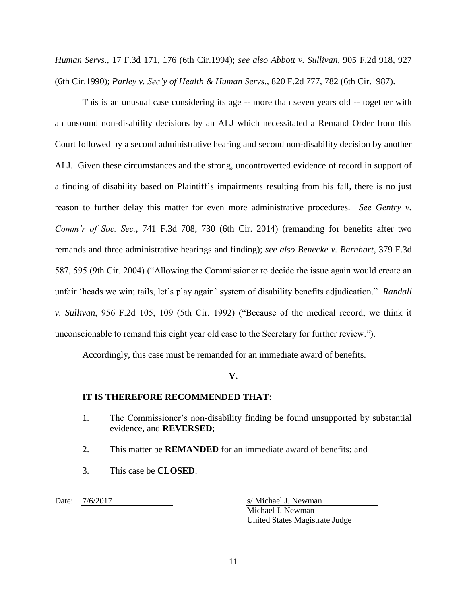*Human Servs.,* 17 F.3d 171, 176 (6th Cir.1994); *see also Abbott v. Sullivan,* [905 F.2d 918, 927](https://1.next.westlaw.com/Link/Document/FullText?findType=Y&serNum=1990089812&pubNum=0000350&originatingDoc=I515a5c70108511e6be97c29f3a4ca000&refType=RP&fi=co_pp_sp_350_927&originationContext=document&transitionType=DocumentItem&contextData=(sc.Search)#co_pp_sp_350_927)  [\(6th Cir.1990\);](https://1.next.westlaw.com/Link/Document/FullText?findType=Y&serNum=1990089812&pubNum=0000350&originatingDoc=I515a5c70108511e6be97c29f3a4ca000&refType=RP&fi=co_pp_sp_350_927&originationContext=document&transitionType=DocumentItem&contextData=(sc.Search)#co_pp_sp_350_927) *Parley v. Sec'y of Health & Human Servs.,* [820 F.2d 777, 782 \(6th Cir.1987\).](https://1.next.westlaw.com/Link/Document/FullText?findType=Y&serNum=1987068627&pubNum=0000350&originatingDoc=I515a5c70108511e6be97c29f3a4ca000&refType=RP&fi=co_pp_sp_350_782&originationContext=document&transitionType=DocumentItem&contextData=(sc.Search)#co_pp_sp_350_782)

This is an unusual case considering its age -- more than seven years old -- together with an unsound non-disability decisions by an ALJ which necessitated a Remand Order from this Court followed by a second administrative hearing and second non-disability decision by another ALJ. Given these circumstances and the strong, uncontroverted evidence of record in support of a finding of disability based on Plaintiff's impairments resulting from his fall, there is no just reason to further delay this matter for even more administrative procedures. *See Gentry v. Comm'r of Soc. Sec.*, 741 F.3d 708, 730 (6th Cir. 2014) (remanding for benefits after two remands and three administrative hearings and finding); *see also Benecke v. Barnhart*, 379 F.3d 587, 595 (9th Cir. 2004) ("Allowing the Commissioner to decide the issue again would create an unfair 'heads we win; tails, let's play again' system of disability benefits adjudication." *Randall v. Sullivan*, 956 F.2d 105, 109 (5th Cir. 1992) ("Because of the medical record, we think it unconscionable to remand this eight year old case to the Secretary for further review.").

Accordingly, this case must be remanded for an immediate award of benefits.

## **V.**

## **IT IS THEREFORE RECOMMENDED THAT**:

- 1. The Commissioner's non-disability finding be found unsupported by substantial evidence, and **REVERSED**;
- 2. This matter be **REMANDED** for an immediate award of benefits; and
- 3. This case be **CLOSED**.

Date:  $7/6/2017$  s/ Michael J. Newman

Michael J. Newman United States Magistrate Judge